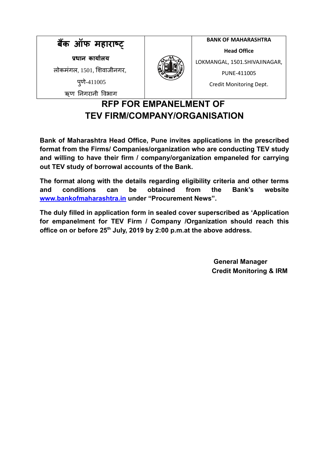

# **RFP FOR EMPANELMENT OF TEV FIRM/COMPANY/ORGANISATION**

**Bank of Maharashtra Head Office, Pune invites applications in the prescribed format from the Firms/ Companies/organization who are conducting TEV study and willing to have their firm / company/organization empaneled for carrying out TEV study of borrowal accounts of the Bank.**

**The format along with the details regarding eligibility criteria and other terms and conditions can be obtained from the Bank's website www.bankofmaharashtra.in under "Procurement News".**

**The duly filled in application form in sealed cover superscribed as 'Application for empanelment for TEV Firm / Company /Organization should reach this** office on or before 25<sup>th</sup> July, 2019 by 2:00 p.m.at the above address.

> **General Manager Credit Monitoring & IRM**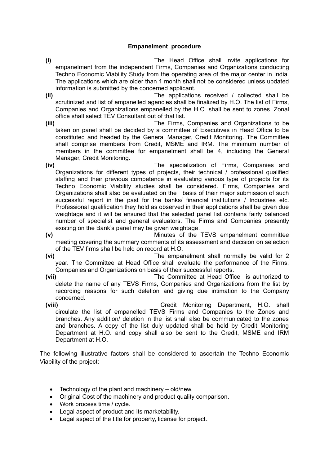### **Empanelment procedure**

- **(i)** The Head Office shall invite applications for empanelment from the independent Firms, Companies and Organizations conducting Techno Economic Viability Study from the operating area of the major center in India. The applications which are older than 1 month shall not be considered unless updated information is submitted by the concerned applicant.
- **(ii)** The applications received / collected shall be scrutinized and list of empanelled agencies shall be finalized by H.O. The list of Firms, Companies and Organizations empanelled by the H.O. shall be sent to zones. Zonal office shall select TEV Consultant out of that list.
- **(iii)** The Firms, Companies and Organizations to be taken on panel shall be decided by a committee of Executives in Head Office to be constituted and headed by the General Manager, Credit Monitoring. The Committee shall comprise members from Credit, MSME and IRM. The minimum number of members in the committee for empanelment shall be 4, including the General Manager, Credit Monitoring.
- **(iv)** The specialization of Firms, Companies and Organizations for different types of projects, their technical / professional qualified staffing and their previous competence in evaluating various type of projects for its Techno Economic Viability studies shall be considered. Firms, Companies and Organizations shall also be evaluated on the basis of their major submission of such successful report in the past for the banks/ financial institutions / Industries etc. Professional qualification they hold as observed in their applications shall be given due weightage and it will be ensured that the selected panel list contains fairly balanced number of specialist and general evaluators. The Firms and Companies presently existing on the Bank's panel may be given weightage.
- **(v)** Minutes of the TEVS empanelment committee meeting covering the summary comments of its assessment and decision on selection of the TEV firms shall be held on record at H.O.
- **(vi)** The empanelment shall normally be valid for 2 year. The Committee at Head Office shall evaluate the performance of the Firms, Companies and Organizations on basis of their successful reports.
- **(vii)** The Committee at Head Office is authorized to delete the name of any TEVS Firms, Companies and Organizations from the list by recording reasons for such deletion and giving due intimation to the Company concerned.
- **(viii)** Credit Monitoring Department, H.O. shall circulate the list of empanelled TEVS Firms and Companies to the Zones and branches. Any addition/ deletion in the list shall also be communicated to the zones and branches. A copy of the list duly updated shall be held by Credit Monitoring Department at H.O. and copy shall also be sent to the Credit, MSME and IRM Department at H.O.

The following illustrative factors shall be considered to ascertain the Techno Economic Viability of the project:

- Technology of the plant and machinery old/new.
- Original Cost of the machinery and product quality comparison.
- Work process time / cycle.
- Legal aspect of product and its marketability.
- Legal aspect of the title for property, license for project.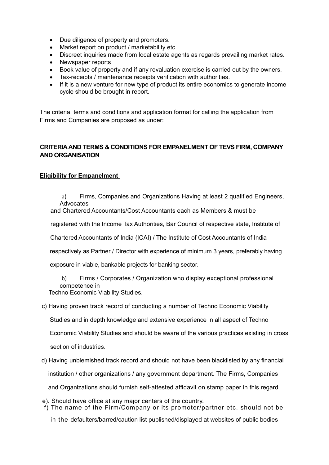- Due diligence of property and promoters.
- Market report on product / marketability etc.
- Discreet inquiries made from local estate agents as regards prevailing market rates.
- Newspaper reports
- Book value of property and if any revaluation exercise is carried out by the owners.
- Tax-receipts / maintenance receipts verification with authorities.
- If it is a new venture for new type of product its entire economics to generate income cycle should be brought in report.

The criteria, terms and conditions and application format for calling the application from Firms and Companies are proposed as under:

## **CRITERIA AND TERMS & CONDITIONS FOR EMPANELMENT OF TEVS FIRM, COMPANY AND ORGANISATION**

### **Eligibility for Empanelment**

a) Firms, Companies and Organizations Having at least 2 qualified Engineers, **Advocates** 

and Chartered Accountants/Cost Accountants each as Members & must be

registered with the Income Tax Authorities, Bar Council of respective state, Institute of

Chartered Accountants of India (ICAI) / The Institute of Cost Accountants of India

respectively as Partner / Director with experience of minimum 3 years, preferably having

exposure in viable, bankable projects for banking sector.

b) Firms / Corporates / Organization who display exceptional professional competence in

Techno Economic Viability Studies.

#### c) Having proven track record of conducting a number of Techno Economic Viability

Studies and in depth knowledge and extensive experience in all aspect of Techno

Economic Viability Studies and should be aware of the various practices existing in cross

section of industries.

d) Having unblemished track record and should not have been blacklisted by any financial

institution / other organizations / any government department. The Firms, Companies

and Organizations should furnish self-attested affidavit on stamp paper in this regard.

- e). Should have office at any major centers of the country.
- f) The name of the Firm/Company or its promoter/partner etc. should not be

in the defaulters/barred/caution list published/displayed at websites of public bodies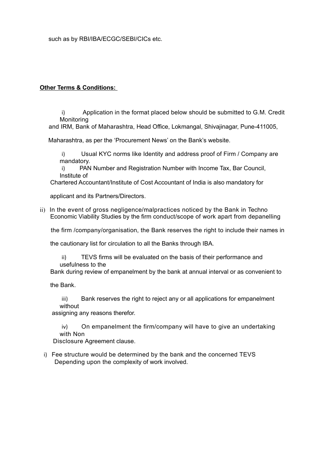such as by RBI/IBA/ECGC/SEBI/CICs etc.

#### **Other Terms & Conditions:**

i) Application in the format placed below should be submitted to G.M. Credit Monitoring

and IRM, Bank of Maharashtra, Head Office, Lokmangal, Shivajinagar, Pune-411005,

Maharashtra, as per the 'Procurement News' on the Bank's website.

i) Usual KYC norms like Identity and address proof of Firm / Company are mandatory.

i) PAN Number and Registration Number with Income Tax, Bar Council, Institute of

Chartered Accountant/Institute of Cost Accountant of India is also mandatory for

applicant and its Partners/Directors.

ii) In the event of gross negligence/malpractices noticed by the Bank in Techno Economic Viability Studies by the firm conduct/scope of work apart from depanelling

the firm /company/organisation, the Bank reserves the right to include their names in

the cautionary list for circulation to all the Banks through IBA.

ii) TEVS firms will be evaluated on the basis of their performance and usefulness to the

Bank during review of empanelment by the bank at annual interval or as convenient to

the Bank.

iii) Bank reserves the right to reject any or all applications for empanelment without

assigning any reasons therefor.

iv) On empanelment the firm/company will have to give an undertaking with Non

Disclosure Agreement clause.

i) Fee structure would be determined by the bank and the concerned TEVS Depending upon the complexity of work involved.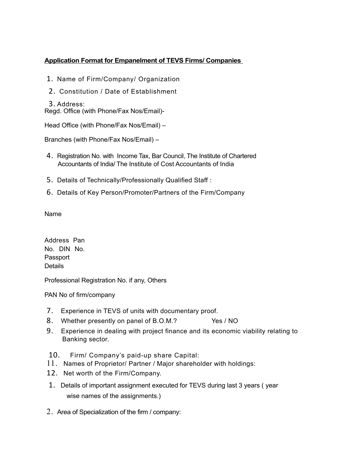# **Application Format for Empanelment of TEVS Firms/ Companies**

- 1. Name of Firm/Company/ Organization
- 2. Constitution / Date of Establishment
- 3. Address:

Regd. Office (with Phone/Fax Nos/Email)-

Head Office (with Phone/Fax Nos/Email) –

Branches (with Phone/Fax Nos/Email) –

- 4. Registration No. with Income Tax, Bar Council, The Institute of Chartered Accountants of India/ The Institute of Cost Accountants of India
- 5. Details of Technically/Professionally Qualified Staff :
- 6. Details of Key Person/Promoter/Partners of the Firm/Company

Name

Address Pan No. DIN No. Passport **Details** 

Professional Registration No. if any, Others

PAN No of firm/company

- 7. Experience in TEVS of units with documentary proof.
- 8. Whether presently on panel of B.O.M.? Yes / NO
- 9. Experience in dealing with project finance and its economic viability relating to Banking sector.
- 10. Firm/ Company's paid-up share Capital:
- 11. Names of Proprietor/ Partner / Major shareholder with holdings:
- 12. Net worth of the Firm/Company.
- 1. Details of important assignment executed for TEVS during last 3 years ( year wise names of the assignments.)
- 2. Area of Specialization of the firm / company: